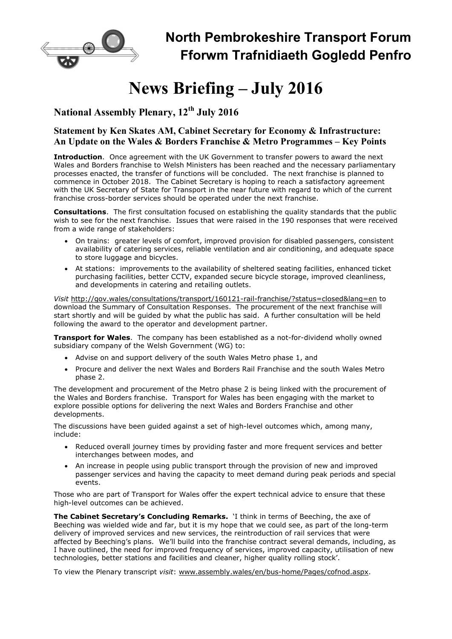

# News Briefing – July 2016

# National Assembly Plenary, 12<sup>th</sup> July 2016

#### Statement by Ken Skates AM, Cabinet Secretary for Economy & Infrastructure: An Update on the Wales & Borders Franchise & Metro Programmes – Key Points

Introduction. Once agreement with the UK Government to transfer powers to award the next Wales and Borders franchise to Welsh Ministers has been reached and the necessary parliamentary processes enacted, the transfer of functions will be concluded. The next franchise is planned to commence in October 2018. The Cabinet Secretary is hoping to reach a satisfactory agreement with the UK Secretary of State for Transport in the near future with regard to which of the current franchise cross-border services should be operated under the next franchise.

**Consultations.** The first consultation focused on establishing the quality standards that the public wish to see for the next franchise. Issues that were raised in the 190 responses that were received from a wide range of stakeholders:

- On trains: greater levels of comfort, improved provision for disabled passengers, consistent availability of catering services, reliable ventilation and air conditioning, and adequate space to store luggage and bicycles.
- At stations: improvements to the availability of sheltered seating facilities, enhanced ticket purchasing facilities, better CCTV, expanded secure bicycle storage, improved cleanliness, and developments in catering and retailing outlets.

Visit http://gov.wales/consultations/transport/160121-rail-franchise/?status=closed&lang=en to download the Summary of Consultation Responses. The procurement of the next franchise will start shortly and will be guided by what the public has said. A further consultation will be held following the award to the operator and development partner.

**Transport for Wales.** The company has been established as a not-for-dividend wholly owned subsidiary company of the Welsh Government (WG) to:

- Advise on and support delivery of the south Wales Metro phase 1, and
- Procure and deliver the next Wales and Borders Rail Franchise and the south Wales Metro phase 2.

The development and procurement of the Metro phase 2 is being linked with the procurement of the Wales and Borders franchise. Transport for Wales has been engaging with the market to explore possible options for delivering the next Wales and Borders Franchise and other developments.

The discussions have been quided against a set of high-level outcomes which, among many, include:

- Reduced overall journey times by providing faster and more frequent services and better interchanges between modes, and
- An increase in people using public transport through the provision of new and improved passenger services and having the capacity to meet demand during peak periods and special events.

Those who are part of Transport for Wales offer the expert technical advice to ensure that these high-level outcomes can be achieved.

The Cabinet Secretary's Concluding Remarks. 'I think in terms of Beeching, the axe of Beeching was wielded wide and far, but it is my hope that we could see, as part of the long-term delivery of improved services and new services, the reintroduction of rail services that were affected by Beeching's plans. We'll build into the franchise contract several demands, including, as I have outlined, the need for improved frequency of services, improved capacity, utilisation of new technologies, better stations and facilities and cleaner, higher quality rolling stock'.

To view the Plenary transcript visit: www.assembly.wales/en/bus-home/Pages/cofnod.aspx.